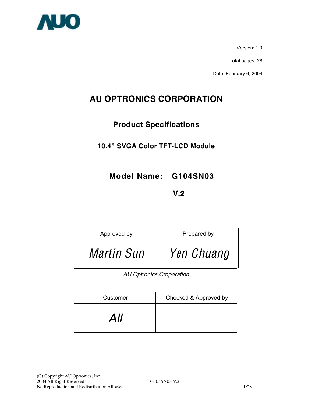

Version: 1.0

Total pages: 28

Date: February 6, 2004

# **AU OPTRONICS CORPORATION**

# **Product Specifications**

# **10.4" SVGA Color TFT-LCD Module**

**Model Name: G104SN03** 

# **12 V.2 V.2**

| Approved by       | Prepared by |
|-------------------|-------------|
| <i>Martin Sun</i> | Yen Chuang  |

*AU Optronics Croporation* 

| Customer | Checked & Approved by |
|----------|-----------------------|
| All      |                       |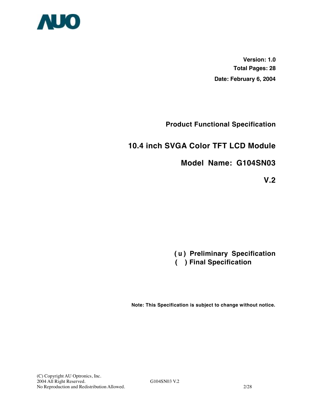

**Version: 1.0 Total Pages: 28 Date: February 6, 2004**

**Product Functional Specification** 

# **10.4 inch SVGA Color TFT LCD Module**

# **Model Name: G104SN03**

**V.2** 

**(** u **) Preliminary Specification ( ) Final Specification** 

**Note: This Specification is subject to change without notice.**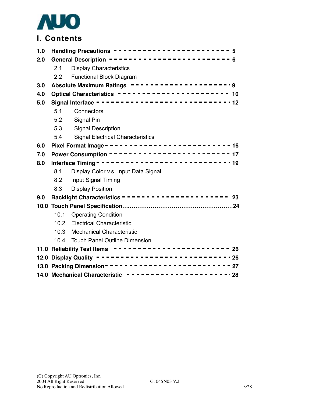

# **I. Contents**

| 1.0 |                                                        | Handling Precautions ------------------------ 5                                                        |  |  |
|-----|--------------------------------------------------------|--------------------------------------------------------------------------------------------------------|--|--|
| 2.0 |                                                        | General Description ------------------------ 6                                                         |  |  |
|     | 2.1                                                    | <b>Display Characteristics</b>                                                                         |  |  |
|     | 2.2                                                    | <b>Functional Block Diagram</b>                                                                        |  |  |
| 3.0 |                                                        | Absolute Maximum Ratings ----------------------9<br>Optical Characteristics ----------------------- 10 |  |  |
| 4.0 |                                                        |                                                                                                        |  |  |
| 5.0 |                                                        |                                                                                                        |  |  |
|     | 5.1                                                    | Connectors                                                                                             |  |  |
|     | 5.2                                                    | Signal Pin                                                                                             |  |  |
|     | 5.3                                                    | <b>Signal Description</b>                                                                              |  |  |
|     | 5.4                                                    | <b>Signal Electrical Characteristics</b>                                                               |  |  |
| 6.0 |                                                        |                                                                                                        |  |  |
| 7.0 |                                                        |                                                                                                        |  |  |
| 8.0 |                                                        |                                                                                                        |  |  |
|     | 8.1                                                    | Display Color v.s. Input Data Signal                                                                   |  |  |
|     | 8.2                                                    | Input Signal Timing                                                                                    |  |  |
|     | 8.3                                                    | <b>Display Position</b>                                                                                |  |  |
| 9.0 |                                                        | Backlight Characteristics ---------------------------                                                  |  |  |
|     |                                                        |                                                                                                        |  |  |
|     | 10.1                                                   | <b>Operating Condition</b>                                                                             |  |  |
|     |                                                        | 10.2 Electrical Characteristic                                                                         |  |  |
|     | 10.3                                                   | <b>Mechanical Characteristic</b>                                                                       |  |  |
|     | 10.4                                                   | <b>Touch Panel Outline Dimension</b>                                                                   |  |  |
|     |                                                        | 11.0 Reliability Test Items $- - - - - - - - - - - - - - - - - - - - - - - - - - 26$                   |  |  |
|     |                                                        |                                                                                                        |  |  |
|     |                                                        |                                                                                                        |  |  |
|     | 14.0 Mechanical Characteristic ---------------------28 |                                                                                                        |  |  |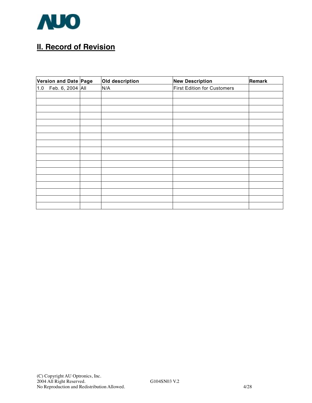

# **II. Record of Revision**

| Version and Date Page | Old description | <b>New Description</b>      | Remark |
|-----------------------|-----------------|-----------------------------|--------|
| 1.0 Feb. 6, 2004 All  | N/A             | First Edition for Customers |        |
|                       |                 |                             |        |
|                       |                 |                             |        |
|                       |                 |                             |        |
|                       |                 |                             |        |
|                       |                 |                             |        |
|                       |                 |                             |        |
|                       |                 |                             |        |
|                       |                 |                             |        |
|                       |                 |                             |        |
|                       |                 |                             |        |
|                       |                 |                             |        |
|                       |                 |                             |        |
|                       |                 |                             |        |
|                       |                 |                             |        |
|                       |                 |                             |        |
|                       |                 |                             |        |
|                       |                 |                             |        |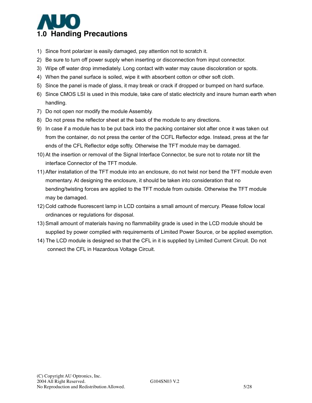

- 1) Since front polarizer is easily damaged, pay attention not to scratch it.
- 2) Be sure to turn off power supply when inserting or disconnection from input connector.
- 3) Wipe off water drop immediately. Long contact with water may cause discoloration or spots.
- 4) When the panel surface is soiled, wipe it with absorbent cotton or other soft cloth.
- 5) Since the panel is made of glass, it may break or crack if dropped or bumped on hard surface.
- 6) Since CMOS LSI is used in this module, take care of static electricity and insure human earth when handling.
- 7) Do not open nor modify the module Assembly.
- 8) Do not press the reflector sheet at the back of the module to any directions.
- 9) In case if a module has to be put back into the packing container slot after once it was taken out from the container, do not press the center of the CCFL Reflector edge. Instead, press at the far ends of the CFL Reflector edge softly. Otherwise the TFT module may be damaged.
- 10) At the insertion or removal of the Signal Interface Connector, be sure not to rotate nor tilt the interface Connector of the TFT module.
- 11) After installation of the TFT module into an enclosure, do not twist nor bend the TFT module even momentary. At designing the enclosure, it should be taken into consideration that no bending/twisting forces are applied to the TFT module from outside. Otherwise the TFT module may be damaged.
- 12) Cold cathode fluorescent lamp in LCD contains a small amount of mercury. Please follow local ordinances or regulations for disposal.
- 13) Small amount of materials having no flammability grade is used in the LCD module should be supplied by power complied with requirements of Limited Power Source, or be applied exemption.
- 14) The LCD module is designed so that the CFL in it is supplied by Limited Current Circuit. Do not connect the CFL in Hazardous Voltage Circuit.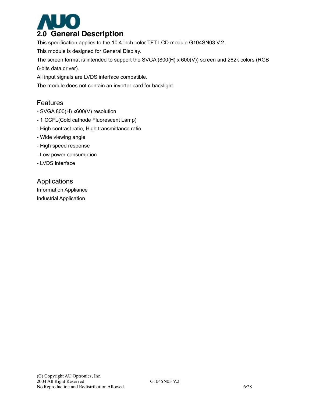

This specification applies to the 10.4 inch color TFT LCD module G104SN03 V.2.

This module is designed for General Display.

The screen format is intended to support the SVGA (800(H) x 600(V)) screen and 262k colors (RGB 6-bits data driver).

All input signals are LVDS interface compatible.

The module does not contain an inverter card for backlight.

## Features

- SVGA 800(H) x600(V) resolution
- 1 CCFL(Cold cathode Fluorescent Lamp)
- High contrast ratio, High transmittance ratio
- Wide viewing angle
- High speed response
- Low power consumption
- LVDS interface

## Applications

Information Appliance Industrial Application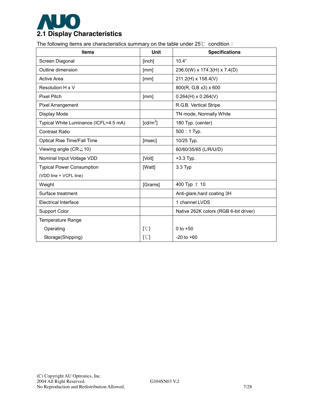

The following items are characteristics summary on the table under 25℃ condition:

| <b>Items</b>                          | Unit                 | <b>Specifications</b>                 |
|---------------------------------------|----------------------|---------------------------------------|
| Screen Diagonal                       | [inch]               | 10.4"                                 |
| Outline dimension                     | [mm]                 | 236.0(W) x 174.3(H) x 7.4(D)          |
| <b>Active Area</b>                    | [mm]                 | 211.2(H) x 158.4(V)                   |
| Resolution H x V                      |                      | 800(R, G,B x3) x 600                  |
| <b>Pixel Pitch</b>                    | [mm]                 | $0.264(H) \times 0.264(V)$            |
| <b>Pixel Arrangement</b>              |                      | R.G.B. Vertical Stripe                |
| Display Mode                          |                      | TN mode, Normally White               |
| Typical White Luminance (ICFL=4.5 mA) | [cd/m <sup>2</sup> ] | 180 Typ. (center)                     |
| <b>Contrast Ratio</b>                 |                      | $500:1$ Typ.                          |
| Optical Rise Time/Fall Time           | [msec]               | 10/25 Typ.                            |
| Viewing angle ( $CR \ge 10$ )         |                      | 60/60/35/65 (L/R/U/D)                 |
| Nominal Input Voltage VDD             | [Volt]               | $+3.3$ Typ.                           |
| <b>Typical Power Consumption</b>      | [Watt]               | $3.3$ Typ                             |
| (VDD line + VCFL line)                |                      |                                       |
| Weight                                | [Grams]              | 400 Typ $\pm$ 10                      |
| Surface treatment                     |                      | Anti-glare, hard coating 3H           |
| <b>Electrical Interface</b>           |                      | 1 channel LVDS                        |
| <b>Support Color</b>                  |                      | Native 262K colors (RGB 6-bit driver) |
| <b>Temperature Range</b>              |                      |                                       |
| Operating                             | [°C]                 | 0 to $+50$                            |
| Storage(Shipping)                     | [°C]                 | $-20$ to $+60$                        |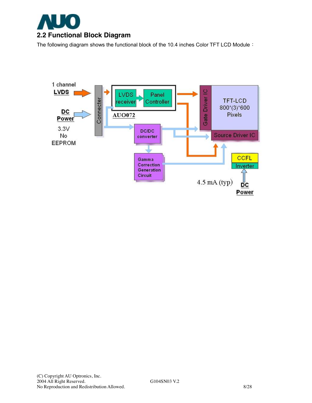

The following diagram shows the functional block of the 10.4 inches Color TFT LCD Module:

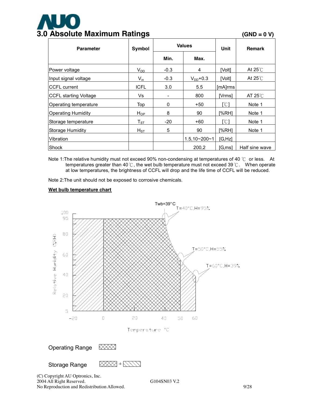# **3.0 Absolute Maximum Ratings (GND = 0 V)**

| <b>Values</b><br>Symbol<br><b>Parameter</b> |                            |        | Unit               | <b>Remark</b> |                   |
|---------------------------------------------|----------------------------|--------|--------------------|---------------|-------------------|
|                                             |                            | Min.   | Max.               |               |                   |
| Power voltage                               | $V_{DD}$                   | $-0.3$ | 4                  | [Volt]        | At $25^{\circ}$   |
| Input signal voltage                        | $V_{in}$                   | $-0.3$ | $V_{DD}$ +0.3      | [Volt]        | At $25^{\circ}$   |
| <b>CCFL</b> current                         | <b>ICFL</b>                | 3.0    | 5.5                | [mA]rms       |                   |
| <b>CCFL starting Voltage</b>                | Vs                         |        | 800                | [Vrms]        | AT 25 $\degree$ C |
| Operating temperature                       | Top                        | 0      | $+50$              | [°C]          | Note 1            |
| <b>Operating Humidity</b>                   | $H_{OP}$                   | 8      | 90                 | [%RH]         | Note 1            |
| Storage temperature                         | $\mathsf{T}_{\texttt{ST}}$ | $-20$  | $+60$              | [°C]          | Note 1            |
| Storage Humidity                            | $H_{ST}$                   | 5      | 90                 | [%RH]         | Note 1            |
| Vibration                                   |                            |        | $1.5.10 - 200 - 1$ | [G, Hz]       |                   |
| <b>Shock</b>                                |                            |        | 200,2              | [G,ms]        | Half sine wave    |

Note 1: The relative humidity must not exceed 90% non-condensing at temperatures of 40 ℃ or less. At temperatures greater than 40℃, the wet bulb temperature must not exceed 39℃. When operate at low temperatures, the brightness of CCFL will drop and the life time of CCFL will be reduced.

Note 2:The unit should not be exposed to corrosive chemicals.

#### **Wet bulb temperature chart**



(C) Copyright AU Optronics, Inc. 2004 All Right Reserved. G104SN03 V.2 No Reproduction and Redistribution Allowed. 9/28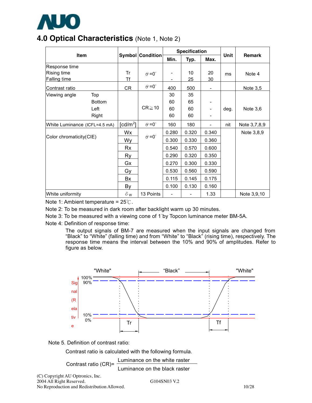

# **4.0 Optical Characteristics** (Note 1, Note 2)

| <b>Item</b>                                         |  |                         |                      | <b>Specification</b> |          |          |      |               |
|-----------------------------------------------------|--|-------------------------|----------------------|----------------------|----------|----------|------|---------------|
|                                                     |  | <b>Symbol Condition</b> |                      | Min.                 | Typ.     | Max.     | Unit | <b>Remark</b> |
| Response time<br>Rising time<br><b>Falling time</b> |  | Tr<br>Τf                | $\theta = 0^{\circ}$ |                      | 10<br>25 | 20<br>30 | ms   | Note 4        |
| Contrast ratio                                      |  | CR                      | $\theta = 0^{\circ}$ | 400                  | 500      | -        |      | Note 3,5      |
| Top<br>Viewing angle                                |  |                         |                      | 30                   | 35       |          |      |               |
| <b>Bottom</b>                                       |  |                         |                      | 60                   | 65       |          |      |               |
| Left                                                |  |                         | $CR \ge 10$          | 60                   | 60       |          | deg. | Note $3,6$    |
| Right                                               |  |                         |                      | 60                   | 60       |          |      |               |
| White Luminance (ICFL=4.5 mA)                       |  | $\lceil cd/m^2 \rceil$  | $\theta = 0^{\circ}$ | 160                  | 180      | ÷,       | nit  | Note 3,7,8,9  |
|                                                     |  | Wx                      |                      | 0.280                | 0.320    | 0.340    |      | Note 3,8,9    |
| Color chromaticity(CIE)                             |  | Wy                      | $\theta = 0^{\circ}$ | 0.300                | 0.330    | 0.360    |      |               |
|                                                     |  | Rx                      |                      | 0.540                | 0.570    | 0.600    |      |               |
|                                                     |  | Ry                      |                      | 0.290                | 0.320    | 0.350    |      |               |
|                                                     |  | Gx                      |                      | 0.270                | 0.300    | 0.330    |      |               |
|                                                     |  | Gy                      |                      | 0.530                | 0.560    | 0.590    |      |               |
|                                                     |  | Bx                      |                      | 0.115                | 0.145    | 0.175    |      |               |
|                                                     |  | By                      |                      | 0.100                | 0.130    | 0.160    |      |               |
| White uniformity                                    |  | $\delta$ w              | 13 Points            |                      |          | 1.33     |      | Note 3,9,10   |

Note 1: Ambient temperature = 25℃.

Note 2: To be measured in dark room after backlight warm up 30 minutes.

Note 3: To be measured with a viewing cone of 1°by Topcon luminance meter BM-5A.

Note 4: Definition of response time:

The output signals of BM-7 are measured when the input signals are changed from "Black" to "White" (falling time) and from "White" to "Black" (rising time), respectively. The response time means the interval between the 10% and 90% of amplitudes. Refer to figure as below.





Contrast ratio is calculated with the following formula.

Contrast ratio (CR)= Luminance on the white raster

(C) Copyright AU Optronics, Inc. 2004 All Right Reserved. G104SN03 V.2 No Reproduction and Redistribution Allowed. 10/28

Luminance on the black raster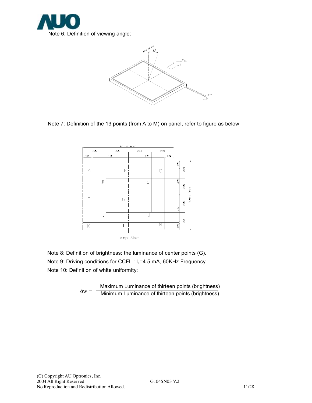



Note 7: Definition of the 13 points (from A to M) on panel, refer to figure as below



Note 8: Definition of brightness: the luminance of center points (G). Note 9: Driving conditions for CCFL : I<sub>L</sub>=4.5 mA, 60KHz Frequency

Note 10: Definition of white uniformity:

 $\delta w =$  -Maximum Luminance of thirteen points (brightness) Minimum Luminance of thirteen points (brightness)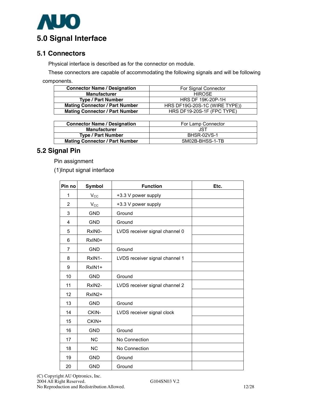

## **5.1 Connectors**

Physical interface is described as for the connector on module.

These connectors are capable of accommodating the following signals and will be following components.

| <b>Connector Name / Designation</b>   | For Signal Connector          |
|---------------------------------------|-------------------------------|
| <b>Manufacturer</b>                   | <b>HIROSE</b>                 |
| <b>Type / Part Number</b>             | <b>HRS DF 19K-20P-1H</b>      |
| <b>Mating Connector / Part Number</b> | HRS DF19G-20S-1C (WIRE TYPE)) |
| <b>Mating Connector / Part Number</b> | HRS DF19-20S-1F (FPC TYPE)    |

| <b>Connector Name / Designation</b>   | For Lamp Connector |
|---------------------------------------|--------------------|
| <b>Manufacturer</b>                   | JST                |
| <b>Type / Part Number</b>             | BHSR-02VS-1        |
| <b>Mating Connector / Part Number</b> | SM02B-BHSS-1-TB    |

## **5.2 Signal Pin**

Pin assignment

(1)Input signal interface

| Pin no | <b>Symbol</b> | <b>Function</b>                | Etc. |
|--------|---------------|--------------------------------|------|
| 1      | $V_{\rm CC}$  | +3.3 V power supply            |      |
| 2      | $V_{\rm CC}$  | +3.3 V power supply            |      |
| 3      | <b>GND</b>    | Ground                         |      |
| 4      | <b>GND</b>    | Ground                         |      |
| 5      | RxIN0-        | LVDS receiver signal channel 0 |      |
| 6      | RxIN0+        |                                |      |
| 7      | <b>GND</b>    | Ground                         |      |
| 8      | RxIN1-        | LVDS receiver signal channel 1 |      |
| 9      | RxIN1+        |                                |      |
| 10     | <b>GND</b>    | Ground                         |      |
| 11     | RxIN2-        | LVDS receiver signal channel 2 |      |
| 12     | RxIN2+        |                                |      |
| 13     | <b>GND</b>    | Ground                         |      |
| 14     | CKIN-         | LVDS receiver signal clock     |      |
| 15     | CKIN+         |                                |      |
| 16     | <b>GND</b>    | Ground                         |      |
| 17     | <b>NC</b>     | No Connection                  |      |
| 18     | <b>NC</b>     | No Connection                  |      |
| 19     | <b>GND</b>    | Ground                         |      |
| 20     | <b>GND</b>    | Ground                         |      |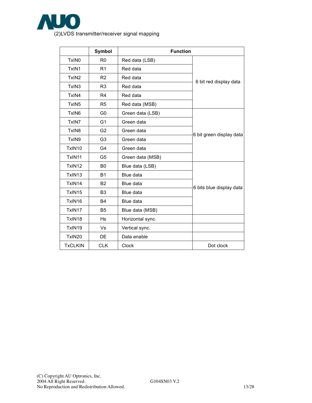

|                    | Symbol         | <b>Function</b>  |                          |
|--------------------|----------------|------------------|--------------------------|
| TxIN <sub>0</sub>  | R <sub>0</sub> | Red data (LSB)   |                          |
| TxIN1              | R1             | Red data         |                          |
| TxIN <sub>2</sub>  | R <sub>2</sub> | Red data         | 6 bit red display data   |
| TxIN <sub>3</sub>  | R <sub>3</sub> | Red data         |                          |
| TxIN4              | R <sub>4</sub> | Red data         |                          |
| TxIN <sub>5</sub>  | R <sub>5</sub> | Red data (MSB)   |                          |
| TxIN <sub>6</sub>  | G <sub>0</sub> | Green data (LSB) |                          |
| TxIN7              | G <sub>1</sub> | Green data       |                          |
| TxIN <sub>8</sub>  | G <sub>2</sub> | Green data       | 6 bit green display data |
| TxIN9              | G <sub>3</sub> | Green data       |                          |
| TxIN10             | G4             | Green data       |                          |
| TxIN11             | G <sub>5</sub> | Green data (MSB) |                          |
| TxIN <sub>12</sub> | B <sub>0</sub> | Blue data (LSB)  |                          |
| TxIN13             | <b>B1</b>      | Blue data        |                          |
| TxIN14             | <b>B2</b>      | Blue data        | 6 bits blue display data |
| TxIN15             | B <sub>3</sub> | Blue data        |                          |
| TxIN16             | <b>B4</b>      | Blue data        |                          |
| TxIN17             | B <sub>5</sub> | Blue data (MSB)  |                          |
| TxIN18             | Hs             | Horizontal sync. |                          |
| TxIN19             | Vs             | Vertical sync.   |                          |
| TxIN20             | DE             | Data enable      |                          |
| <b>TxCLKIN</b>     | <b>CLK</b>     | <b>Clock</b>     | Dot clock                |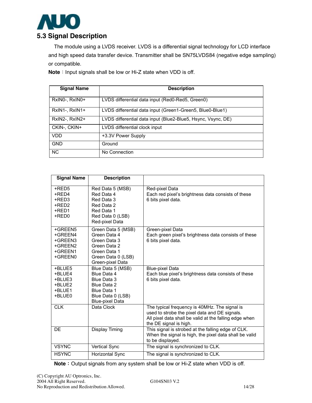

The module using a LVDS receiver. LVDS is a differential signal technology for LCD interface and high speed data transfer device. Transmitter shall be SN75LVDS84 (negative edge sampling) or compatible.

**Note**: Input signals shall be low or Hi-Z state when VDD is off.

| <b>Signal Name</b> | <b>Description</b>                                           |
|--------------------|--------------------------------------------------------------|
| RxINO-, RxINO+     | LVDS differential data input (Red0-Red5, Green0)             |
| RxIN1-, RxIN1+     | LVDS differential data input (Green1-Green5, Blue0-Blue1)    |
| $RxIN2-, RxIN2+$   | LVDS differential data input (Blue2-Blue5, Hsync, Vsync, DE) |
| CKIN-, CKIN+       | LVDS differential clock input                                |
| VDD                | +3.3V Power Supply                                           |
| <b>GND</b>         | Ground                                                       |
| <b>NC</b>          | No Connection                                                |

| <b>Signal Name</b>                                             | <b>Description</b>                                                                                                           |                                                                                                                                                                                    |
|----------------------------------------------------------------|------------------------------------------------------------------------------------------------------------------------------|------------------------------------------------------------------------------------------------------------------------------------------------------------------------------------|
| +RED5<br>+RED4<br>+RED3<br>+RED2<br>+RED1<br>+RED0             | Red Data 5 (MSB)<br>Red Data 4<br>Red Data 3<br>Red Data 2<br>Red Data 1<br>Red Data 0 (LSB)<br>Red-pixel Data               | Red-pixel Data<br>Each red pixel's brightness data consists of these<br>6 bits pixel data.                                                                                         |
| +GREEN5<br>+GREEN4<br>+GREEN3<br>+GREEN2<br>+GREEN1<br>+GREEN0 | Green Data 5 (MSB)<br>Green Data 4<br>Green Data 3<br>Green Data 2<br>Green Data 1<br>Green Data 0 (LSB)<br>Green-pixel Data | Green-pixel Data<br>Each green pixel's brightness data consists of these<br>6 bits pixel data.                                                                                     |
| +BLUE5<br>+BLUE4<br>+BLUE3<br>+BLUE2<br>+BLUE1<br>+BLUE0       | Blue Data 5 (MSB)<br>Blue Data 4<br>Blue Data 3<br>Blue Data 2<br>Blue Data 1<br>Blue Data 0 (LSB)<br><b>Blue-pixel Data</b> | <b>Blue-pixel Data</b><br>Each blue pixel's brightness data consists of these<br>6 bits pixel data.                                                                                |
| <b>CLK</b>                                                     | Data Clock                                                                                                                   | The typical frequency is 40MHz. The signal is<br>used to strobe the pixel data and DE signals.<br>All pixel data shall be valid at the falling edge when<br>the DE signal is high. |
| DE                                                             | <b>Display Timing</b>                                                                                                        | This signal is strobed at the falling edge of CLK.<br>When the signal is high, the pixel data shall be valid<br>to be displayed.                                                   |
| <b>VSYNC</b>                                                   | Vertical Sync                                                                                                                | The signal is synchronized to CLK.                                                                                                                                                 |
| <b>HSYNC</b>                                                   | Horizontal Sync                                                                                                              | The signal is synchronized to CLK.                                                                                                                                                 |

**Note**: Output signals from any system shall be low or Hi-Z state when VDD is off.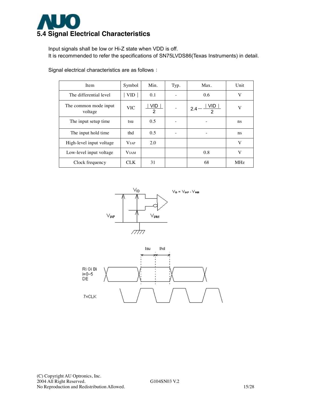

Input signals shall be low or Hi-Z state when VDD is off. It is recommended to refer the specifications of SN75LVDS86(Texas Instruments) in detail.

| Item                             | Symbol       | Min.      | Typ. | Max.                          | Unit       |
|----------------------------------|--------------|-----------|------|-------------------------------|------------|
| The differential level           | <b>VID</b>   | 0.1       |      | 0.6                           | V          |
| The common mode input<br>voltage | <b>VIC</b>   | VID.<br>2 |      | VID.<br>2.4<br>$\mathfrak{p}$ | V          |
| The input setup time.            | tsu          | 0.5       |      |                               | ns         |
| The input hold time              | thd          | 0.5       |      | -                             | ns.        |
| High-level input voltage         | <b>V</b> IAP | 2.0       |      |                               | V          |
| Low-level input voltage          | <b>VIAM</b>  |           |      | 0.8                           | V          |
| Clock frequency                  | <b>CLK</b>   | 31        |      | 68                            | <b>MHz</b> |

Signal electrical characteristics are as follows:



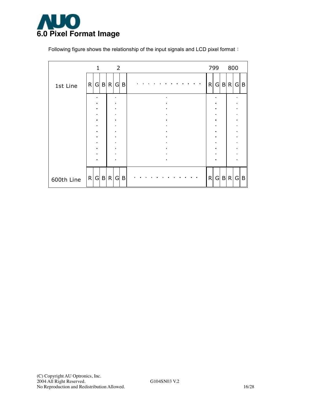

Following figure shows the relationship of the input signals and LCD pixel format:

|            | $\mathbf{1}$                     |  | $\overline{\phantom{0}}$ 2       |   |  |  |                |  |  |   | 799            |              | 800 |                |     |
|------------|----------------------------------|--|----------------------------------|---|--|--|----------------|--|--|---|----------------|--------------|-----|----------------|-----|
| 1st Line   | R G B R                          |  | G                                | B |  |  |                |  |  | R | G              | $\mathsf{B}$ | R   | G B            |     |
|            | $\blacksquare$<br>$\blacksquare$ |  | $\blacksquare$                   |   |  |  |                |  |  |   |                |              |     |                |     |
|            | $\blacksquare$                   |  |                                  |   |  |  |                |  |  |   |                |              |     |                |     |
|            | $\blacksquare$<br>$\blacksquare$ |  | $\blacksquare$<br>$\blacksquare$ |   |  |  |                |  |  |   | $\blacksquare$ |              |     | $\blacksquare$ |     |
|            | $\blacksquare$                   |  | $\blacksquare$                   |   |  |  |                |  |  |   |                |              |     |                |     |
|            | $\bullet$                        |  | $\blacksquare$                   |   |  |  |                |  |  |   |                |              |     |                |     |
|            | $\bullet$<br>$\blacksquare$      |  | $\blacksquare$<br>$\blacksquare$ |   |  |  |                |  |  |   |                |              |     |                |     |
|            | $\blacksquare$                   |  | $\blacksquare$                   |   |  |  |                |  |  |   |                |              |     |                |     |
|            | $\blacksquare$                   |  | $\blacksquare$                   |   |  |  |                |  |  |   |                |              |     |                |     |
|            | $\blacksquare$                   |  | $\blacksquare$                   |   |  |  | $\blacksquare$ |  |  |   |                |              |     |                |     |
|            |                                  |  |                                  |   |  |  |                |  |  |   |                |              |     |                |     |
| 600th Line | R G B R                          |  | G                                | B |  |  |                |  |  | R | $\mathsf{G}$   |              | B R |                | G B |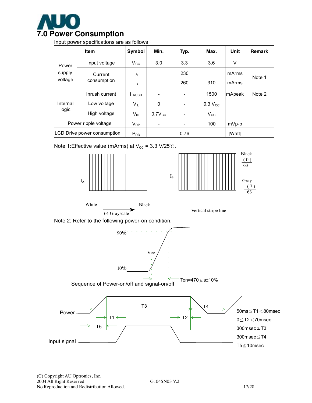

Input power specifications are as follows:

|          | <b>Item</b>                 | <b>Symbol</b>   | Min.                     | Typ.                     | Max.         | Unit    | <b>Remark</b> |
|----------|-----------------------------|-----------------|--------------------------|--------------------------|--------------|---------|---------------|
| Power    | Input voltage               | $V_{\rm CC}$    | 3.0                      | 3.3                      | 3.6          | V       |               |
| supply   | Current                     | $I_A$           |                          | 230                      |              | mArms   | Note 1        |
| voltage  | consumption                 | $I_{\rm B}$     |                          | 260                      | 310          | mArms   |               |
|          | Inrush current              | <b>RUSH</b>     |                          | $\overline{\phantom{a}}$ | 1500         | mApeak  | Note 2        |
| Internal | Low voltage                 | $V_{IL}$        | 0                        | $\overline{\phantom{a}}$ | $0.3 V_{CC}$ |         |               |
| logic    | High voltage                | $V_{\text{IH}}$ | $0.7V_{CC}$              | $\overline{\phantom{a}}$ | $V_{\rm CC}$ |         |               |
|          | Power ripple voltage        | $V_{RP}$        | $\overline{\phantom{a}}$ | -                        | 100          | $mVp-p$ |               |
|          | LCD Drive power consumption | $P_{DD}$        |                          | 0.76                     |              | [Watt]  |               |

Note 1:Effective value (mArms) at  $V_{\text{cc}}$  = 3.3 V/25℃.





White Black





Note 2: Refer to the following power-on condition.

 $90\%$ <sup>-</sup> 10% Vcc

Sequence of Power-on/off and signal-on/off Ton=470  $\mu$  s $\pm$ 10%

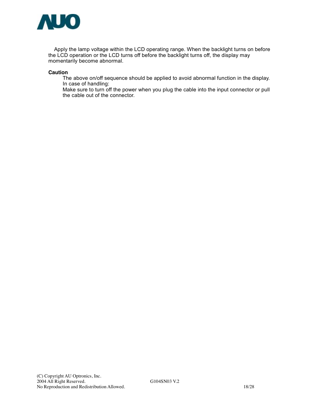

Apply the lamp voltage within the LCD operating range. When the backlight turns on before the LCD operation or the LCD turns off before the backlight turns off, the display may momentarily become abnormal.

#### **Caution**

The above on/off sequence should be applied to avoid abnormal function in the display. In case of handling:

Make sure to turn off the power when you plug the cable into the input connector or pull the cable out of the connector.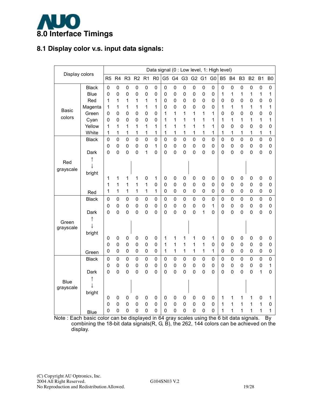

## **8.1 Display color v.s. input data signals:**

|                |                       |                |                |                                 |                               |             |                     |                |                          |             |                |                          | Data signal (0 : Low level, 1: High level) |                |                            |                |                  |             |                     |
|----------------|-----------------------|----------------|----------------|---------------------------------|-------------------------------|-------------|---------------------|----------------|--------------------------|-------------|----------------|--------------------------|--------------------------------------------|----------------|----------------------------|----------------|------------------|-------------|---------------------|
| Display colors |                       | R <sub>5</sub> | R <sub>4</sub> | R <sub>3</sub>                  | R <sub>2</sub> R <sub>1</sub> |             | R <sub>0</sub>      | G <sub>5</sub> |                          | G4 G3 G2 G1 |                |                          | G <sub>0</sub>                             | B <sub>5</sub> | <b>B4</b>                  | B <sub>3</sub> | B <sub>2</sub>   | <b>B1</b>   | B <sub>0</sub>      |
|                | <b>Black</b>          | $\mathbf 0$    | $\mathbf 0$    | $\mathbf 0$                     | $\mathbf 0$                   | $\mathbf 0$ | $\mathbf 0$         | 0              | $\pmb{0}$                | 0           | 0              | $\mathbf 0$              | $\mathbf 0$                                | $\mathbf 0$    | $\mathbf 0$                | $\mathsf 0$    | $\mathbf 0$      | $\mathbf 0$ | $\mathbf 0$         |
|                | <b>Blue</b>           | $\mathbf 0$    | $\mathbf 0$    | 0                               | $\mathbf 0$                   | 0           | 0                   | 0              | 0                        | 0           | 0              | $\mathbf 0$              | $\mathbf 0$                                | 1              | 1                          | 1              | 1                | 1           | 1                   |
|                | Red                   | 1              | 1              | 1                               | 1                             | 1           | 1                   | 0              | 0                        | 0           | 0              | $\mathbf 0$              | $\mathbf 0$                                | 0              | 0                          | 0              | 0                | 0           | $\mathbf 0$         |
| <b>Basic</b>   | Magenta               | 1              | 1              | 1                               | 1                             | 1           | 1                   | 0              | 0                        | 0           | 0              | $\mathbf 0$              | 0                                          | 1              | 1                          | 1              | 1                | 1           | 1                   |
| colors         | Green                 | 0              | 0              | $\mathbf 0$                     | $\pmb{0}$                     | $\mathbf 0$ | $\mathsf{O}\xspace$ | 1              | 1                        | 1           | 1              | 1                        | 1                                          | 0              | $\mathbf 0$                | 0              | 0                | 0           | $\mathbf 0$         |
|                | Cyan                  | 0              | 0              | 0                               | $\pmb{0}$                     | 0           | $\mathbf 0$         | 1              | 1                        | 1           | 1              | 1                        | 1                                          | 1              | 1                          | 1              | 1                | 1           | 1                   |
|                | Yellow                | 1              | 1              | 1                               | 1                             | 1           | 1                   | 1              | 1                        | 1           | 1              | 1                        | 1                                          | 0              | $\mathbf 0$                | 0              | 0                | 0           | 0                   |
|                | White                 | 1              | 1              | 1                               | 1                             | 1           | 1                   | 1              | 1                        | 1           | 1              | 1                        | 1                                          | 1              | 1                          | 1              | 1                | 1           | 1                   |
|                | <b>Black</b>          | 0              | 0              | $\overline{0}$                  | $\mathbf 0$                   | $\mathbf 0$ | $\mathsf{O}\xspace$ | 0              | $\mathbf 0$              | 0           | $\overline{0}$ | $\mathbf 0$              | $\mathbf 0$                                | $\mathbf 0$    | $\pmb{0}$                  | $\mathbf 0$    | $\mathbf 0$      | $\mathsf 0$ | $\mathbf 0$         |
|                |                       | 0              | $\mathbf 0$    | $\mathbf 0$                     | $\pmb{0}$                     | $\mathbf 0$ | 1                   | 0              | 0                        | 0           | 0              | $\mathbf 0$              | $\mathbf 0$                                | $\mathbf 0$    | $\pmb{0}$                  | 0              | $\mathbf 0$      | 0           | $\mathsf{O}\xspace$ |
|                | Dark                  | 0              | $\overline{0}$ | $\mathbf 0$                     | $\mathbf 0$                   | 1           | $\mathbf 0$         | 0              | 0                        | 0           | $\overline{0}$ | $\mathbf 0$              | $\overline{0}$                             | $\mathbf 0$    | $\mathbf 0$                | $\mathbf 0$    | $\mathbf 0$      | $\mathbf 0$ | $\mathbf 0$         |
| Red            |                       |                |                |                                 |                               |             |                     |                |                          |             |                |                          |                                            |                |                            |                |                  |             |                     |
| grayscale      |                       |                |                |                                 |                               |             |                     |                |                          |             |                |                          |                                            |                |                            |                |                  |             |                     |
|                | bright                |                |                |                                 |                               |             |                     |                |                          |             |                |                          |                                            |                |                            |                |                  |             |                     |
|                |                       | 1              | 1              | 1                               | 1                             | $\mathbf 0$ | 1<br>$\mathbf 0$    | 0<br>0         | $\pmb{0}$<br>$\mathbf 0$ | 0<br>0      | 0<br>0         | $\pmb{0}$<br>$\mathbf 0$ | $\mathbf 0$                                | 0              | $\mathbf 0$<br>$\mathbf 0$ | 0              | $\mathbf 0$      | 0           | 0                   |
|                |                       | 1<br>1         | 1<br>1         | 1<br>1                          | 1<br>1                        | 1<br>1      | 1                   | 0              | 0                        | 0           | 0              | $\mathbf 0$              | 0<br>$\mathbf 0$                           | 0<br>0         | $\pmb{0}$                  | 0<br>0         | 0<br>$\mathbf 0$ | 0<br>0      | $\mathbf 0$<br>0    |
|                | Red                   |                |                |                                 |                               |             |                     |                |                          |             |                |                          |                                            |                |                            |                |                  |             |                     |
|                | <b>Black</b>          | 0              | $\mathbf 0$    | $\mathbf 0$                     | $\pmb{0}$                     | $\mathbf 0$ | $\mathbf 0$         | 0              | $\mathbf 0$              | 0           | 0              | $\mathbf 0$              | $\mathbf 0$                                | $\mathbf 0$    | $\pmb{0}$                  | $\mathbf 0$    | $\mathbf 0$      | $\mathsf 0$ | $\mathbf 0$         |
|                |                       | 0              | $\mathbf 0$    | $\mathbf 0$                     | $\mathbf 0$                   | $\mathbf 0$ | $\mathbf 0$         | 0              | 0                        | 0           | 0              | $\mathbf 0$              | 1                                          | $\mathbf 0$    | $\mathbf 0$                | 0              | $\mathbf 0$      | $\pmb{0}$   | $\pmb{0}$           |
|                | Dark                  | $\mathbf 0$    | 0              | 0                               | $\mathbf 0$                   | $\mathbf 0$ | 0                   | 0              | 0                        | 0           | 0              | 1                        | $\mathbf 0$                                | $\mathbf 0$    | 0                          | 0              | $\mathbf 0$      | 0           | $\mathbf 0$         |
| Green          |                       |                |                |                                 |                               |             |                     |                |                          |             |                |                          |                                            |                |                            |                |                  |             |                     |
| grayscale      |                       |                |                |                                 |                               |             |                     |                |                          |             |                |                          |                                            |                |                            |                |                  |             |                     |
|                | bright                | 0              | $\pmb{0}$      | $\mathbf 0$                     | $\mathbf 0$                   | 0           | 0                   | 1              | 1                        | 1           | 1              | $\mathbf 0$              | 1                                          | 0              | 0                          | 0              | 0                | $\pmb{0}$   | 0                   |
|                |                       | 0              | $\pmb{0}$      | $\mathbf 0$                     | $\pmb{0}$                     | 0           | $\mathbf 0$         | 1              | 1                        | 1           | 1              | 1                        | $\mathbf 0$                                | 0              | $\mathbf 0$                | 0              | $\mathbf 0$      | 0           | $\mathbf 0$         |
|                |                       | 0              | 0              | $\mathbf 0$                     | $\mathbf 0$                   | 0           | 0                   | 1              | 1                        | 1           | 1              | $\mathbf{1}$             | 1                                          | 0              | $\overline{0}$             | 0              | $\mathbf 0$      | 0           | $\mathbf 0$         |
|                | Green<br><b>Black</b> | 0              | 0              | $\pmb{0}$                       | $\mathsf 0$                   | 0           | 0                   | 0              | $\mathsf 0$              | $\mathsf 0$ | 0              | 0                        | 0                                          | 0              | $\pmb{0}$                  | 0              | $\pmb{0}$        | 0           | $\mathsf 0$         |
|                |                       | 0              | 0              | 0                               | $\pmb{0}$                     | 0           | $\mathbf 0$         | 0              | 0                        | 0           | 0              | $\mathbf 0$              | $\mathbf 0$                                | 0              | $\pmb{0}$                  | 0              | $\mathbf 0$      | 0           | 1                   |
|                | Dark                  | 0              | 0              | 0                               | $\mathbf 0$                   | 0           | $\mathbf 0$         | 0              | 0                        | 0           | 0              | $\mathbf 0$              | 0                                          | 0              | $\mathbf 0$                | 0              | 0                | 1           | 0                   |
|                |                       |                |                |                                 |                               |             |                     |                |                          |             |                |                          |                                            |                |                            |                |                  |             |                     |
| <b>Blue</b>    |                       |                |                |                                 |                               |             |                     |                |                          |             |                |                          |                                            |                |                            |                |                  |             |                     |
| grayscale      |                       |                |                |                                 |                               |             |                     |                |                          |             |                |                          |                                            |                |                            |                |                  |             |                     |
|                | bright                | 0              | $\pmb{0}$      | $\mathbf 0$                     | $\pmb{0}$                     | 0           | $\mathbf 0$         | 0              | $\mathbf 0$              | 0           | 0              | $\mathbf 0$              | 0                                          | 1              | 1                          | 1              | 1                | 0           | 1                   |
|                |                       | 0              | $\pmb{0}$      | $\mathbf 0$                     | $\mathbf 0$                   | 0           | $\mathbf 0$         | 0              | 0                        | $\mathbf 0$ | 0              | $\mathbf 0$              | 0                                          | 1              | 1                          | 1              | 1                | 1           | $\mathbf 0$         |
|                | <b>Blue</b>           | 0              | 0              | $\mathbf 0$                     | 0                             | $\mathbf 0$ | $\mathbf 0$         | 0              | 0                        | 0           | 0              | $\mathbf 0$              | 0                                          | 1              | 1                          | 1              | 1                | 1           | 1                   |
| Nata : Each ha |                       |                |                | $\Delta$ : $\Delta$ :<br>المناط |                               | والمستنصلة  | $\sim$<br><b>.</b>  |                |                          |             |                | ومطلا بمستحدد وممار      |                                            | 1.11<br>$\sim$ | ديات الم                   |                |                  |             |                     |

Note : Each basic color can be displayed in 64 gray scales using the 6 bit data signals. By combining the 18-bit data signals(R, G, B), the 262, 144 colors can be achieved on the display.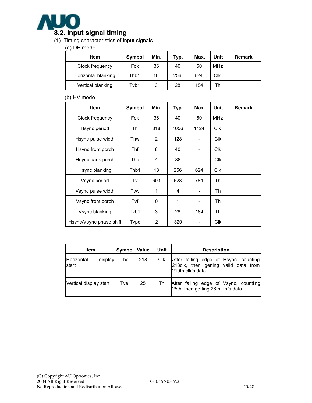

### (1). Timing characteristics of input signals

#### (a) DE mode

| Item                | <b>Symbol</b> | Min. | Typ. | Max. | Unit       | Remark |
|---------------------|---------------|------|------|------|------------|--------|
| Clock frequency     | Fck           | 36   | 40   | 50   | <b>MHz</b> |        |
| Horizontal blanking | Thb1          | 18   | 256  | 624  | Clk        |        |
| Vertical blanking   | Tvb1          | 3    | 28   | 184  | Th         |        |

#### (b) HV mode

| <b>Item</b>             | Symbol | Min. | Typ. | Max.           | Unit       | Remark |
|-------------------------|--------|------|------|----------------|------------|--------|
| Clock frequency         | Fck    | 36   | 40   | 50             | <b>MHz</b> |        |
| Hsync period            | Th     | 818  | 1056 | 1424           | <b>Clk</b> |        |
| Hsync pulse width       | Thw    | 2    | 128  |                | <b>Clk</b> |        |
| Hsync front porch       | Thf    | 8    | 40   | -              | <b>Clk</b> |        |
| Hsync back porch        | Thb    | 4    | 88   |                | <b>CIK</b> |        |
| Hsync blanking          | Thb1   | 18   | 256  | 624            | <b>Clk</b> |        |
| Vsync period            | Tv     | 603  | 628  | 784            | Th         |        |
| Vsync pulse width       | Tvw    | 1    | 4    | -              | Th         |        |
| Vsync front porch       | Tvf    | 0    | 1    | $\overline{a}$ | Th         |        |
| Vsync blanking          | Tvb1   | 3    | 28   | 184            | Th         |        |
| Hsync/Vsync phase shift | Tvpd   | 2    | 320  |                | <b>CIK</b> |        |

| Item                   |         | Symbo | <b>Value</b> | Unit | <b>Description</b>                                                                                  |
|------------------------|---------|-------|--------------|------|-----------------------------------------------------------------------------------------------------|
| Horizontal<br>start    | display | The   | 218          | Clk  | After falling edge of Hsync, counting<br>218 clk, then getting valid data from<br>219th clk's data. |
| Vertical display start |         | Tve   | 25           | Th   | After falling edge of Vsync, counting<br>25th, then getting 26th Th's data.                         |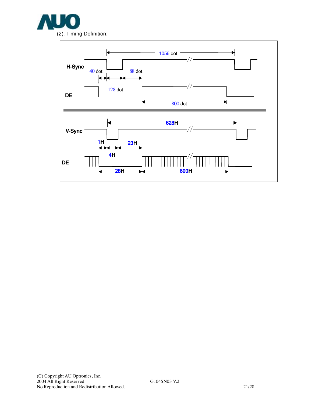

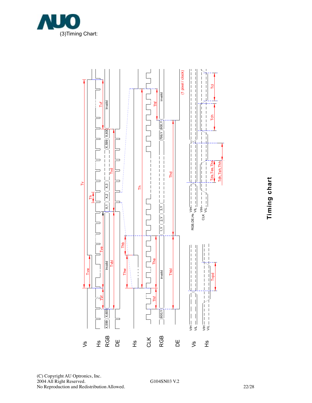

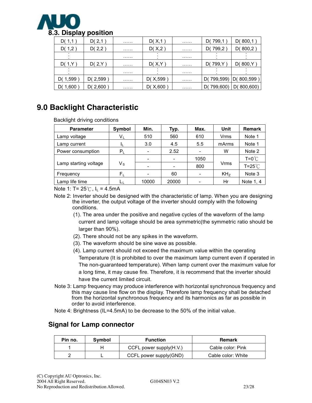

| D(1,1)   | D(2,1)     | . | D(X,1)     | . | D(799,1        | D(800,1)       |
|----------|------------|---|------------|---|----------------|----------------|
| D(1,2)   | D(2,2)     | . | D(X,2)     | . | D(799,2        | D(800,2)       |
|          |            | . |            | . |                |                |
| D(1,Y)   | D(2,Y)     | . | D(X, Y)    | . | D(799, Y       | D(800,Y)       |
|          |            | . |            | . |                |                |
| D(1,599  | D( $2,599$ | . | D( $X,599$ | . | 799,599)<br>D( | D(800,599)     |
| D(1,600) | D( $2,600$ | . | D(X, 600)  | . | 799,600)<br>D١ | D(<br>800,600) |

# **9.0 Backlight Characteristic**

Backlight driving conditions

| <b>Parameter</b>      | Symbol  | Min.  | Typ.                     | Max. | Unit            | <b>Remark</b>    |
|-----------------------|---------|-------|--------------------------|------|-----------------|------------------|
| Lamp voltage          | $V_{L}$ | 510   | 560                      | 610  | Vrms            | Note 1           |
| Lamp current          |         | 3.0   | 4.5                      | 5.5  | mArms           | Note 1           |
| Power consumption     | $P_L$   |       | 2.52                     |      | w               | Note 2           |
|                       |         |       | $\overline{\phantom{a}}$ | 1050 |                 | $T = 0^{\circ}C$ |
| Lamp starting voltage | Vs      |       | -                        | 800  | Vrms            | $T = 25^{\circ}$ |
| Frequency             | $F_L$   |       | 60                       |      | KH <sub>z</sub> | Note 3           |
| Lamp life time        |         | 10000 | 20000                    |      | Hr              | Note 1, 4        |

Note 1: T=  $25^{\circ}$ C, I<sub>L</sub> = 4.5mA

- Note 2: Inverter should be designed with the characteristic of lamp. When you are designing the inverter, the output voltage of the inverter should comply with the following conditions.
	- (1). The area under the positive and negative cycles of the waveform of the lamp current and lamp voltage should be area symmetric(the symmetric ratio should be larger than 90%).
	- (2). There should not be any spikes in the waveform.
	- (3). The waveform should be sine wave as possible.
	- (4). Lamp current should not exceed the maximum value within the operating Temperature (It is prohibited to over the maximum lamp current even if operated in The non-guaranteed temperature). When lamp current over the maximum value for a long time, it may cause fire. Therefore, it is recommend that the inverter should have the current limited circuit.
- Note 3: Lamp frequency may produce interference with horizontal synchronous frequency and this may cause line flow on the display. Therefore lamp frequency shall be detached from the horizontal synchronous frequency and its harmonics as far as possible in order to avoid interference.
- Note 4: Brightness (IL=4.5mA) to be decrease to the 50% of the initial value.

## **Signal for Lamp connector**

| Pin no. | Symbol | <b>Function</b>            | <b>Remark</b>      |
|---------|--------|----------------------------|--------------------|
|         |        | CCFL power supply $(H.V.)$ | Cable color: Pink  |
|         |        | CCFL power supply(GND)     | Cable color: White |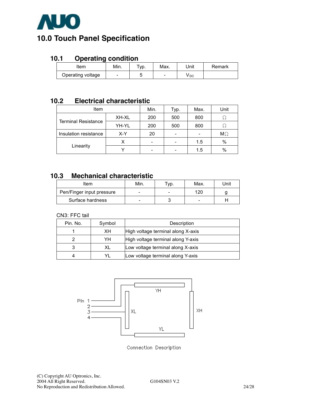

# **10.0 Touch Panel Specification**

## **10.1 Operating condition**

| ∖tem              | Min. | 'yp. | Max.                     | Unit | Remark |
|-------------------|------|------|--------------------------|------|--------|
| Operating voltage |      |      | $\overline{\phantom{0}}$ | v рс |        |

## **10.2 Electrical characteristic**

| Item                       |       | Min. | Typ. | Max. | Unit      |
|----------------------------|-------|------|------|------|-----------|
| <b>Terminal Resistance</b> | XH-XL | 200  | 500  | 800  |           |
|                            | YH-YL | 200  | 500  | 800  |           |
| Insulation resistance      | $X-Y$ | 20   |      |      | $M\Omega$ |
| Linearity                  |       | -    |      | 1.5  | $\%$      |
|                            |       |      |      | 1.5  | %         |

## **10.3 Mechanical characteristic**

| Item                      | Min. | Typ. | Max. | Jnit |
|---------------------------|------|------|------|------|
| Pen/Finger input pressure | -    |      | 120  |      |
| Surface hardness          | -    |      | -    |      |

#### CN3: FFC tail

| Pin. No. | Symbol | Description                        |
|----------|--------|------------------------------------|
|          | XН     | High voltage terminal along X-axis |
|          | YH     | High voltage terminal along Y-axis |
|          | XL     | Low voltage terminal along X-axis  |
|          |        | Low voltage terminal along Y-axis  |



Connection Description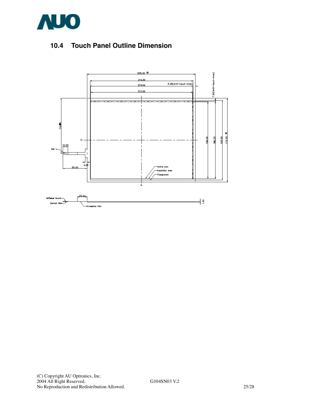

# **10.4 Touch Panel Outline Dimension**

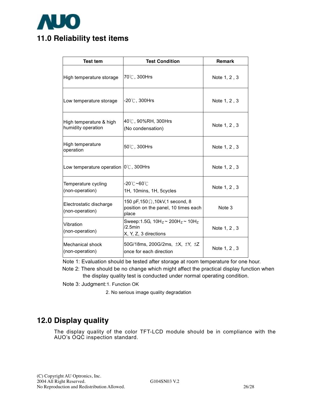

| <b>Test tem</b>                               | <b>Test Condition</b>                                                                     | <b>Remark</b> |
|-----------------------------------------------|-------------------------------------------------------------------------------------------|---------------|
| High temperature storage                      | 70℃, 300Hrs                                                                               | Note 1, 2, 3  |
| Low temperature storage                       | $-20^{\circ}$ C, 300Hrs                                                                   | Note 1, 2, 3  |
| High temperature & high<br>humidity operation | 40℃, 90%RH, 300Hrs<br>(No condensation)                                                   | Note 1, 2, 3  |
| High temperature<br>operation                 | 50°C, 300Hrs                                                                              | Note 1, 2, 3  |
| Low temperature operation   0°C, 300Hrs       |                                                                                           | Note 1, 2, 3  |
| Temperature cycling<br>(non-operation)        | -20℃ <b>~60</b> ℃<br>1H, 10mins, 1H, 5cycles                                              | Note 1, 2, 3  |
| Electrostatic discharge<br>(non-operation)    | 150 pF, 150 $\Omega$ , 10kV, 1 second, 8<br>position on the panel, 10 times each<br>place | Note 3        |
| <b>Vibration</b><br>(non-operation)           | Sweep: 1.5G, $10H_z \sim 200H_z \sim 10H_z$<br>$/2.5$ min<br>X, Y, Z, 3 directions        | Note 1, 2, 3  |
| Mechanical shock<br>(non-operation)           | 50G/18ms, 200G/2ms, ±X, ±Y, ±Z<br>once for each direction                                 | Note 1, 2, 3  |

Note 1: Evaluation should be tested after storage at room temperature for one hour.

 Note 2: There should be no change which might affect the practical display function when the display quality test is conducted under normal operating condition.

Note 3: Judgment:1. Function OK

2. No serious image quality degradation

# **12.0 Display quality**

The display quality of the color TFT-LCD module should be in compliance with the AUO's OQC inspection standard.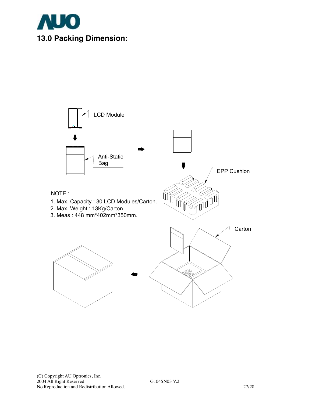